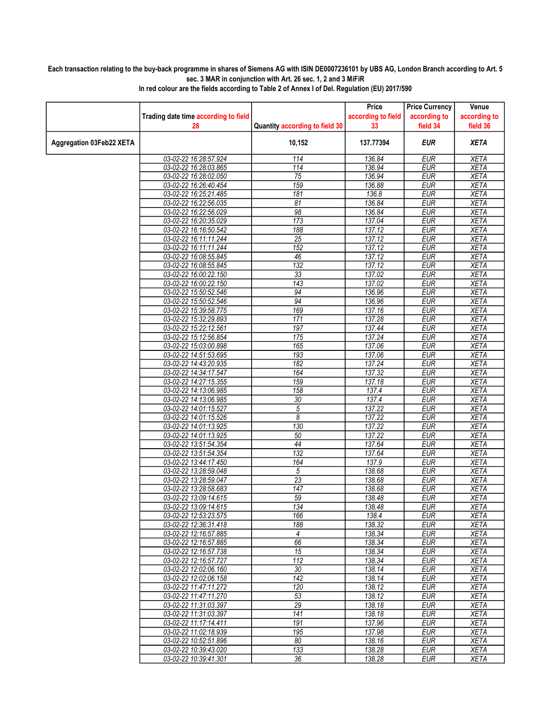## Each transaction relating to the buy-back programme in shares of Siemens AG with ISIN DE0007236101 by UBS AG, London Branch according to Art. 5 sec. 3 MAR in conjunction with Art. 26 sec. 1, 2 and 3 MiFiR

|                          |                                                |                                | Price              | <b>Price Currency</b>    | Venue                      |
|--------------------------|------------------------------------------------|--------------------------------|--------------------|--------------------------|----------------------------|
|                          | Trading date time according to field           |                                | according to field | according to             | according to               |
|                          | 28                                             | Quantity according to field 30 | 33                 | field 34                 | field 36                   |
| Aggregation 03Feb22 XETA |                                                | 10,152                         | 137.77394          | <b>EUR</b>               | <b>XETA</b>                |
|                          | 03-02-22 16:28:57.924                          | 114                            | 136.84             | <b>EUR</b>               | <b>XETA</b>                |
|                          | 03-02-22 16:28:03.865                          | 114                            | 136.94             | <b>EUR</b>               | <b>XETA</b>                |
|                          | 03-02-22 16:28:02.050                          | 75                             | 136.94             | <b>EUR</b>               | <b>XETA</b>                |
|                          | 03-02-22 16:26:40.454                          | 159                            | 136.88             | <b>EUR</b>               | <b>XETA</b>                |
|                          | 03-02-22 16:25:21.485                          | 181                            | 136.8              | <b>EUR</b>               | <b>XETA</b>                |
|                          | 03-02-22 16:22:56.035                          | 81                             | 136.84             | <b>EUR</b>               | <b>XETA</b>                |
|                          | 03-02-22 16:22:56.029                          | 98                             | 136.84             | <b>EUR</b>               | <b>XETA</b>                |
|                          | 03-02-22 16:20:35.029                          | 173                            | 137.04             | <b>EUR</b>               | <b>XETA</b>                |
|                          | 03-02-22 16:16:50.542                          | 188                            | 137.12             | EUR                      | <b>XETA</b>                |
|                          | 03-02-22 16:11:11.244                          | 25                             | 137.12             | <b>EUR</b>               | <b>XETA</b>                |
|                          | 03-02-22 16:11:11.244<br>03-02-22 16:08:55.845 | 152<br>46                      | 137.12<br>137.12   | <b>EUR</b><br><b>EUR</b> | <b>XETA</b><br><b>XETA</b> |
|                          | 03-02-22 16:08:55.845                          | 132                            | 137.12             | <b>EUR</b>               | <b>XETA</b>                |
|                          | 03-02-22 16:00:22.150                          | 33                             | 137.02             | <b>EUR</b>               | <b>XETA</b>                |
|                          | 03-02-22 16:00:22.150                          | 143                            | 137.02             | <b>EUR</b>               | <b>XETA</b>                |
|                          | 03-02-22 15:50:52.546                          | 94                             | 136.96             | <b>EUR</b>               | <b>XETA</b>                |
|                          | 03-02-22 15:50:52.546                          | 94                             | 136.96             | <b>EUR</b>               | <b>XETA</b>                |
|                          | 03-02-22 15:39:58.775                          | 169                            | 137.16             | <b>EUR</b>               | <b>XETA</b>                |
|                          | 03-02-22 15:32:29.893                          | 171                            | 137.28             | <b>EUR</b>               | <b>XETA</b>                |
|                          | 03-02-22 15:22:12.561                          | 197                            | 137.44             | <b>EUR</b>               | <b>XETA</b>                |
|                          | 03-02-22 15:12:56.854                          | 175                            | 137.24             | <b>EUR</b>               | <b>XETA</b>                |
|                          | 03-02-22 15:03:00.898                          | 165                            | 137.06             | <b>EUR</b>               | <b>XETA</b>                |
|                          | 03-02-22 14:51:53.695                          | 193                            | 137.06             | <b>EUR</b>               | <b>XETA</b>                |
|                          | 03-02-22 14:43:20.935                          | 182                            | 137.24             | <b>EUR</b>               | <b>XETA</b>                |
|                          | 03-02-22 14:34:17.547                          | 164                            | 137.32             | <b>EUR</b>               | <b>XETA</b>                |
|                          | 03-02-22 14:27:15.355                          | 159                            | 137.18             | <b>EUR</b>               | <b>XETA</b>                |
|                          | 03-02-22 14:13:06.985                          | 158                            | 137.4              | <b>EUR</b>               | <b>XETA</b>                |
|                          | 03-02-22 14:13:06.985                          | 30                             | 137.4              | <b>EUR</b>               | <b>XETA</b>                |
|                          | 03-02-22 14:01:15.527                          | $\sqrt{5}$                     | 137.22             | <b>EUR</b>               | <b>XETA</b>                |
|                          | 03-02-22 14:01:15.526                          | 8                              | 137.22             | <b>EUR</b>               | <b>XETA</b>                |
|                          | 03-02-22 14:01:13.925<br>03-02-22 14:01:13.925 | 130<br>50                      | 137.22<br>137.22   | <b>EUR</b><br><b>EUR</b> | <b>XETA</b><br><b>XETA</b> |
|                          | 03-02-22 13:51:54.354                          | $\overline{44}$                | 137.64             | <b>EUR</b>               | <b>XETA</b>                |
|                          | 03-02-22 13:51:54.354                          | 132                            | 137.64             | EUR                      | <b>XETA</b>                |
|                          | 03-02-22 13:44:17.450                          | 164                            | 137.9              | <b>EUR</b>               | <b>XETA</b>                |
|                          | 03-02-22 13:28:59.048                          | 5                              | 138.68             | <b>EUR</b>               | <b>XETA</b>                |
|                          | 03-02-22 13:28:59.047                          | $\overline{23}$                | 138.68             | <b>EUR</b>               | <b>XETA</b>                |
|                          | 03-02-22 13:28:58.683                          | 147                            | 138.68             | <b>EUR</b>               | <b>XETA</b>                |
|                          | 03-02-22 13:09:14.615                          | 59                             | 138.48             | <b>EUR</b>               | <b>XETA</b>                |
|                          | 03-02-22 13:09:14.615                          | 134                            | 138.48             | <b>EUR</b>               | <b>XETA</b>                |
|                          | 03-02-22 12:53:23.575                          | 166                            | 138.4              | <b>EUR</b>               | <b>XETA</b>                |
|                          | 03-02-22 12:36:31.418                          | 188                            | 138.32             | <b>EUR</b>               | <b>XETA</b>                |
|                          | 03-02-22 12:16:57.885                          | 4                              | 138.34             | <b>EUR</b>               | <b>XETA</b>                |
|                          | 03-02-22 12:16:57.885                          | 66                             | 138.34             | <b>EUR</b>               | <b>XETA</b>                |
|                          | 03-02-22 12:16:57.738                          | 15                             | 138.34             | <b>EUR</b>               | <b>XETA</b>                |
|                          | 03-02-22 12:16:57.727<br>03-02-22 12:02:06.160 | 112<br>30                      | 138.34<br>138.14   | <b>EUR</b><br><b>EUR</b> | <b>XETA</b><br><b>XETA</b> |
|                          | 03-02-22 12:02:06.158                          | 142                            | 138.14             | <b>EUR</b>               | <b>XETA</b>                |
|                          | 03-02-22 11:47:11.272                          | 120                            | 138.12             | <b>EUR</b>               | XETA                       |
|                          | 03-02-22 11:47:11.270                          | 53                             | 138.12             | <b>EUR</b>               | <b>XETA</b>                |
|                          | 03-02-22 11:31:03.397                          | 29                             | 138.18             | <b>EUR</b>               | <b>XETA</b>                |
|                          | 03-02-22 11:31:03.397                          | 141                            | 138.18             | <b>EUR</b>               | <b>XETA</b>                |
|                          | 03-02-22 11:17:14.411                          | 191                            | 137.96             | <b>EUR</b>               | <b>XETA</b>                |
|                          | 03-02-22 11:02:18.939                          | 195                            | 137.98             | <b>EUR</b>               | <b>XETA</b>                |
|                          | 03-02-22 10:52:51.896                          | 80                             | 138.16             | <b>EUR</b>               | <b>XETA</b>                |
|                          | 03-02-22 10:39:43.020                          | 133                            | 138.28             | <b>EUR</b>               | <b>XETA</b>                |
|                          | 03-02-22 10:39:41.301                          | 36                             | 138.28             | <b>EUR</b>               | <b>XETA</b>                |

In red colour are the fields according to Table 2 of Annex I of Del. Regulation (EU) 2017/590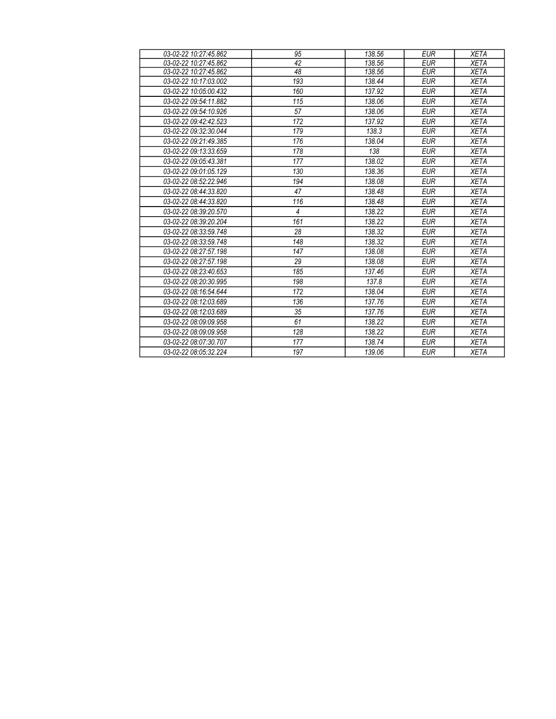| 03-02-22 10:27:45.862                             | 95  | 138.56 | <b>EUR</b> | <b>XETA</b> |
|---------------------------------------------------|-----|--------|------------|-------------|
| 03-02-22 10:27:45.862                             | 42  | 138.56 | <b>EUR</b> | <b>XETA</b> |
| 03-02-22 10:27:45.862                             | 48  | 138.56 | <b>EUR</b> | <b>XETA</b> |
| 03-02-22 10:17:03.002                             | 193 | 138.44 | <b>EUR</b> | <b>XETA</b> |
| 03-02-22 10:05:00.432                             | 160 | 137.92 | <b>EUR</b> | <b>XETA</b> |
| 03-02-22 09:54:11.882                             | 115 | 138.06 | <b>EUR</b> | <b>XETA</b> |
| 03-02-22 09:54:10.926                             | 57  | 138.06 | <b>EUR</b> | <b>XETA</b> |
| $0.3 - 0.2 - 2.2$ $0.9 \cdot 4.2 \cdot 4.2$ 5.2.3 | 172 | 137.92 | <b>EUR</b> | <b>XETA</b> |
| 03-02-22 09:32:30.044                             | 179 | 138.3  | <b>EUR</b> | <b>XETA</b> |
| 03-02-22 09:21:49.385                             | 176 | 138.04 | <b>EUR</b> | <b>XETA</b> |
| 03-02-22 09:13:33.659                             | 178 | 138    | <b>EUR</b> | <b>XETA</b> |
| 03-02-22 09:05:43.381                             | 177 | 138.02 | <b>EUR</b> | <b>XETA</b> |
| 03-02-22 09:01:05.129                             | 130 | 138.36 | <b>EUR</b> | <b>XETA</b> |
| 03-02-22 08:52:22.946                             | 194 | 138.08 | <b>EUR</b> | <b>XETA</b> |
| $0.3 - 0.2 - 2.208 + 4.44$ : 3.3, 8.20            | 47  | 138.48 | <b>EUR</b> | <b>XETA</b> |
| 03-02-22 08:44:33.820                             | 116 | 138.48 | <b>EUR</b> | <b>XETA</b> |
| 03-02-22 08:39:20.570                             | 4   | 138.22 | <b>EUR</b> | <b>XETA</b> |
| 03-02-22 08:39:20.204                             | 161 | 138.22 | <b>EUR</b> | <b>XETA</b> |
| 03-02-22 08:33:59.748                             | 28  | 138.32 | <b>EUR</b> | <b>XETA</b> |
| 03-02-22 08:33:59.748                             | 148 | 138.32 | <b>EUR</b> | <b>XETA</b> |
| 03-02-22 08:27:57.198                             | 147 | 138.08 | <b>EUR</b> | <b>XETA</b> |
| 03-02-22 08:27:57.198                             | 29  | 138.08 | <b>EUR</b> | <b>XETA</b> |
| 03-02-22 08:23:40.653                             | 185 | 137.46 | <b>EUR</b> | <b>XETA</b> |
| 03-02-22 08:20:30.995                             | 198 | 137.8  | <b>EUR</b> | <b>XETA</b> |
| 03-02-22 08:16:54.644                             | 172 | 138.04 | <b>EUR</b> | <b>XETA</b> |
| 03-02-22 08:12:03.689                             | 136 | 137.76 | <b>EUR</b> | <b>XETA</b> |
| 03-02-22 08:12:03.689                             | 35  | 137.76 | <b>EUR</b> | <b>XETA</b> |
| $0.3 - 0.2 - 2.208 + 0.909 + 0.958$               | 61  | 138.22 | <b>EUR</b> | <b>XETA</b> |
| 03-02-22 08:09:09.958                             | 128 | 138.22 | <b>EUR</b> | <b>XETA</b> |
| 03-02-22 08:07:30.707                             | 177 | 138.74 | <b>EUR</b> | <b>XETA</b> |
| 03-02-22 08:05:32.224                             | 197 | 139.06 | <b>EUR</b> | <b>XETA</b> |
|                                                   |     |        |            |             |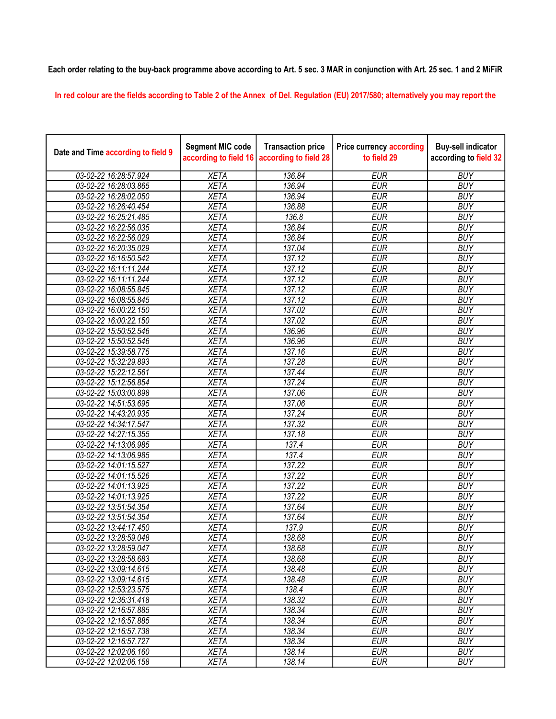## Each order relating to the buy-back programme above according to Art. 5 sec. 3 MAR in conjunction with Art. 25 sec. 1 and 2 MiFiR

In red colour are the fields according to Table 2 of the Annex of Del. Regulation (EU) 2017/580; alternatively you may report the

| Date and Time according to field 9 | <b>Segment MIC code</b><br>according to field 16 | <b>Transaction price</b><br>according to field 28 | <b>Price currency according</b><br>to field 29 | <b>Buy-sell indicator</b><br>according to field 32 |
|------------------------------------|--------------------------------------------------|---------------------------------------------------|------------------------------------------------|----------------------------------------------------|
| 03-02-22 16:28:57.924              | <b>XETA</b>                                      | 136.84                                            | <b>EUR</b>                                     | <b>BUY</b>                                         |
| 03-02-22 16:28:03.865              | <b>XETA</b>                                      | 136.94                                            | <b>EUR</b>                                     | <b>BUY</b>                                         |
| 03-02-22 16:28:02.050              | <b>XETA</b>                                      | 136.94                                            | <b>EUR</b>                                     | <b>BUY</b>                                         |
| 03-02-22 16:26:40.454              | <b>XETA</b>                                      | 136.88                                            | <b>EUR</b>                                     | <b>BUY</b>                                         |
| 03-02-22 16:25:21.485              | <b>XETA</b>                                      | 136.8                                             | <b>EUR</b>                                     | <b>BUY</b>                                         |
| 03-02-22 16:22:56.035              | <b>XETA</b>                                      | 136.84                                            | <b>EUR</b>                                     | <b>BUY</b>                                         |
| 03-02-22 16:22:56.029              | <b>XETA</b>                                      | 136.84                                            | <b>EUR</b>                                     | <b>BUY</b>                                         |
| 03-02-22 16:20:35.029              | <b>XETA</b>                                      | 137.04                                            | <b>EUR</b>                                     | <b>BUY</b>                                         |
| 03-02-22 16:16:50.542              | <b>XETA</b>                                      | 137.12                                            | <b>EUR</b>                                     | <b>BUY</b>                                         |
| 03-02-22 16:11:11.244              | <b>XETA</b>                                      | 137.12                                            | <b>EUR</b>                                     | <b>BUY</b>                                         |
| 03-02-22 16:11:11.244              | <b>XETA</b>                                      | 137.12                                            | <b>EUR</b>                                     | <b>BUY</b>                                         |
| 03-02-22 16:08:55.845              | <b>XETA</b>                                      | 137.12                                            | <b>EUR</b>                                     | <b>BUY</b>                                         |
| 03-02-22 16:08:55.845              | <b>XETA</b>                                      | 137.12                                            | <b>EUR</b>                                     | <b>BUY</b>                                         |
| 03-02-22 16:00:22.150              | <b>XETA</b>                                      | 137.02                                            | <b>EUR</b>                                     | <b>BUY</b>                                         |
| 03-02-22 16:00:22.150              | <b>XETA</b>                                      | 137.02                                            | <b>EUR</b>                                     | <b>BUY</b>                                         |
| 03-02-22 15:50:52.546              | <b>XETA</b>                                      | 136.96                                            | <b>EUR</b>                                     | <b>BUY</b>                                         |
| 03-02-22 15:50:52.546              | <b>XETA</b>                                      | 136.96                                            | <b>EUR</b>                                     | <b>BUY</b>                                         |
| 03-02-22 15:39:58.775              | <b>XETA</b>                                      | 137.16                                            | <b>EUR</b>                                     | <b>BUY</b>                                         |
| 03-02-22 15:32:29.893              | <b>XETA</b>                                      | 137.28                                            | <b>EUR</b>                                     | <b>BUY</b>                                         |
| 03-02-22 15:22:12.561              | <b>XETA</b>                                      | 137.44                                            | <b>EUR</b>                                     | <b>BUY</b>                                         |
| 03-02-22 15:12:56.854              | <b>XETA</b>                                      | 137.24                                            | <b>EUR</b>                                     | <b>BUY</b>                                         |
| 03-02-22 15:03:00.898              | <b>XETA</b>                                      | 137.06                                            | <b>EUR</b>                                     | <b>BUY</b>                                         |
| 03-02-22 14:51:53.695              | <b>XETA</b>                                      | 137.06                                            | <b>EUR</b>                                     | <b>BUY</b>                                         |
| 03-02-22 14:43:20.935              | <b>XETA</b>                                      | 137.24                                            | <b>EUR</b>                                     | <b>BUY</b>                                         |
| 03-02-22 14:34:17.547              | <b>XETA</b>                                      | 137.32                                            | <b>EUR</b>                                     | <b>BUY</b>                                         |
| 03-02-22 14:27:15.355              | <b>XETA</b>                                      | 137.18                                            | <b>EUR</b>                                     | <b>BUY</b>                                         |
| 03-02-22 14:13:06.985              | <b>XETA</b>                                      | $\overline{137.4}$                                | <b>EUR</b>                                     | <b>BUY</b>                                         |
| 03-02-22 14:13:06.985              | <b>XETA</b>                                      | $\overline{137.4}$                                | <b>EUR</b>                                     | <b>BUY</b>                                         |
| 03-02-22 14:01:15.527              | <b>XETA</b>                                      | 137.22                                            | <b>EUR</b>                                     | <b>BUY</b>                                         |
| 03-02-22 14:01:15.526              | <b>XETA</b>                                      | 137.22                                            | <b>EUR</b>                                     | <b>BUY</b>                                         |
| 03-02-22 14:01:13.925              | <b>XETA</b>                                      | 137.22                                            | <b>EUR</b>                                     | <b>BUY</b>                                         |
| 03-02-22 14:01:13.925              | <b>XETA</b>                                      | 137.22                                            | <b>EUR</b>                                     | <b>BUY</b>                                         |
| 03-02-22 13:51:54.354              | <b>XETA</b>                                      | 137.64                                            | <b>EUR</b>                                     | <b>BUY</b>                                         |
| 03-02-22 13:51:54.354              | <b>XETA</b>                                      | 137.64                                            | <b>EUR</b>                                     | <b>BUY</b>                                         |
| 03-02-22 13:44:17.450              | <b>XETA</b>                                      | 137.9                                             | <b>EUR</b>                                     | <b>BUY</b>                                         |
| 03-02-22 13:28:59.048              | <b>XETA</b>                                      | 138.68                                            | <b>EUR</b>                                     | <b>BUY</b>                                         |
| 03-02-22 13:28:59.047              | <b>XETA</b>                                      | 138.68                                            | <b>EUR</b>                                     | <b>BUY</b>                                         |
| 03-02-22 13:28:58.683              | <b>XETA</b>                                      | 138.68                                            | <b>EUR</b>                                     | <b>BUY</b>                                         |
| 03-02-22 13:09:14.615              | <b>XETA</b>                                      | 138.48                                            | <b>EUR</b>                                     | <b>BUY</b>                                         |
| 03-02-22 13:09:14.615              | <b>XETA</b>                                      | 138.48                                            | <b>EUR</b>                                     | <b>BUY</b>                                         |
| 03-02-22 12:53:23.575              | <b>XETA</b>                                      | 138.4                                             | <b>EUR</b>                                     | <b>BUY</b>                                         |
| 03-02-22 12:36:31.418              | <b>XETA</b>                                      | 138.32                                            | <b>EUR</b>                                     | <b>BUY</b>                                         |
| 03-02-22 12:16:57.885              | <b>XETA</b>                                      | 138.34                                            | <b>EUR</b>                                     | <b>BUY</b>                                         |
| 03-02-22 12:16:57.885              | <b>XETA</b>                                      | 138.34                                            | <b>EUR</b>                                     | <b>BUY</b>                                         |
| 03-02-22 12:16:57.738              | <b>XETA</b>                                      | 138.34                                            | <b>EUR</b>                                     | <b>BUY</b>                                         |
| 03-02-22 12:16:57.727              | <b>XETA</b>                                      | 138.34                                            | <b>EUR</b>                                     | <b>BUY</b>                                         |
| 03-02-22 12:02:06.160              | <b>XETA</b>                                      | 138.14                                            | <b>EUR</b>                                     | <b>BUY</b>                                         |
| 03-02-22 12:02:06.158              | <b>XETA</b>                                      | 138.14                                            | <b>EUR</b>                                     | <b>BUY</b>                                         |